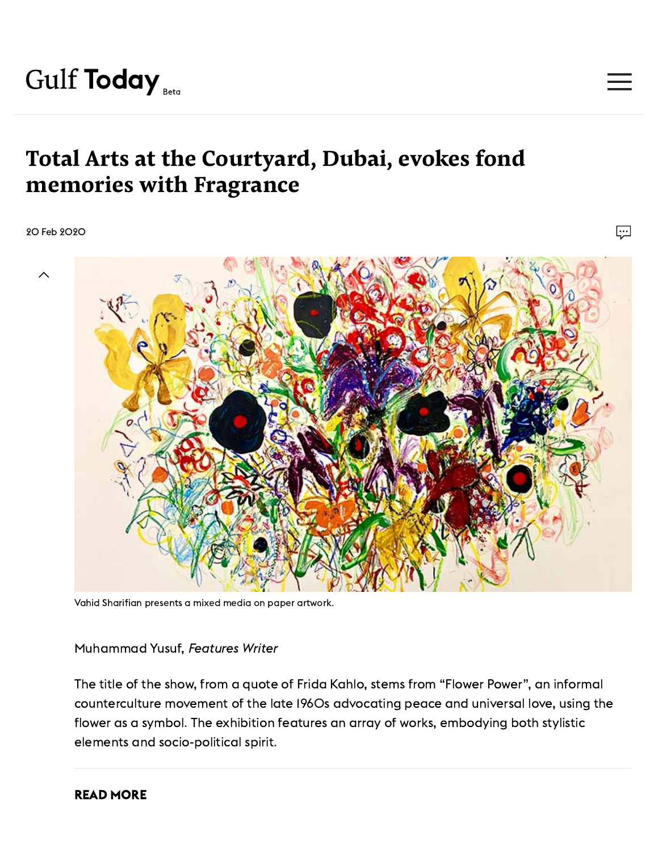## Total Arts at the Courtyard, Dubai, evokes fond memories with Fragrance

20 Feb 2020



 $\boxed{\cdots}$ 

Vahid Sharifian presents a mixed media on paper artwork.

Muhammad Yusuf, Features Writer

The title of the show, from a quote of Frida Kahlo, stems from "Flower Power", an informal counterculture movement of the late 1960s advocating peace and universal love, using the flower as a symbol. The exhibition features an array of works, embodying both stylistic elements and socio-political spirit.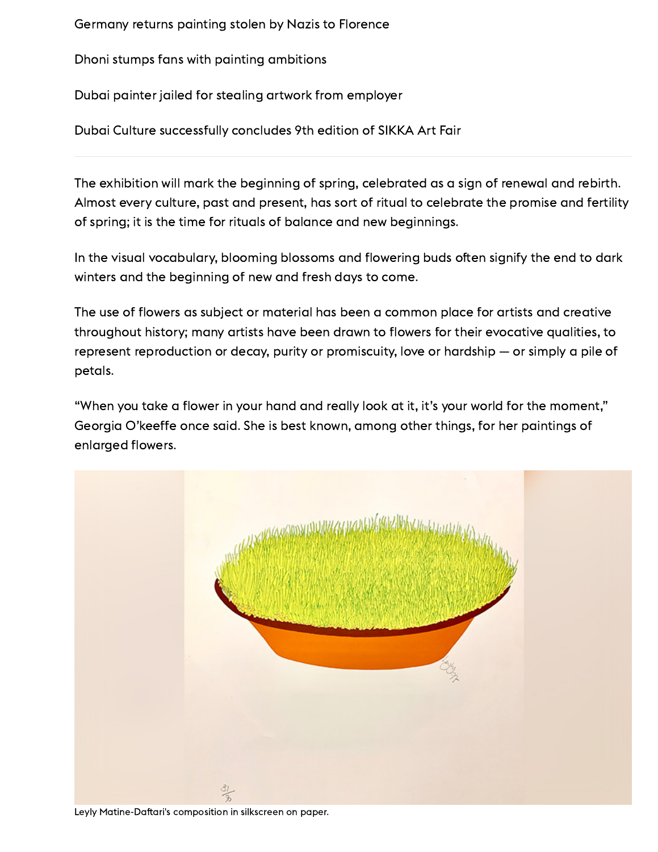[Germany](https://www.gulftoday.ae/culture/2019/07/20/germany-returns-painting-stolen-by-nazis-to-florence) returns painting stolen by Nazis to Florence

Dhoni stumps fans with painting [ambitions](https://www.gulftoday.ae/culture/2019/05/21/dhoni-stumps-fans-with-painting-ambitions)

Dubai painter jailed for stealing artwork from [employer](https://www.gulftoday.ae/news/2020/02/19/dubai-painter-jailed-for-stealing-artwork-from-employer)

Dubai Culture [successfully](https://www.gulftoday.ae/culture/2019/05/05/dubai-culture-successfully-concludes-9th-edition-of-sikka-art-fair) concludes 9th edition of SIKKA Art Fair

The exhibition will mark the beginning of spring, celebrated as a sign of renewal and rebirth. Almost every culture, past and present, has sort of ritual to celebrate the promise and fertility of spring; it is the time for rituals of balance and new beginnings.

In the visual vocabulary, blooming blossoms and flowering buds often signify the end to dark winters and the beginning of new and fresh days to come.

The use of flowers as subject or material has been a common place for artists and creative throughout history; many artists have been drawn to flowers for their evocative qualities, to represent reproduction or decay, purity or promiscuity, love or hardship — or simply a pile of petals.

"When you take a flower in your hand and really look at it, it's your world for the moment," Georgia O'keeffe once said. She is best known, among other things, for her paintings of enlarged flowers.



Leyly Matine-Daftari's composition in silkscreen on paper.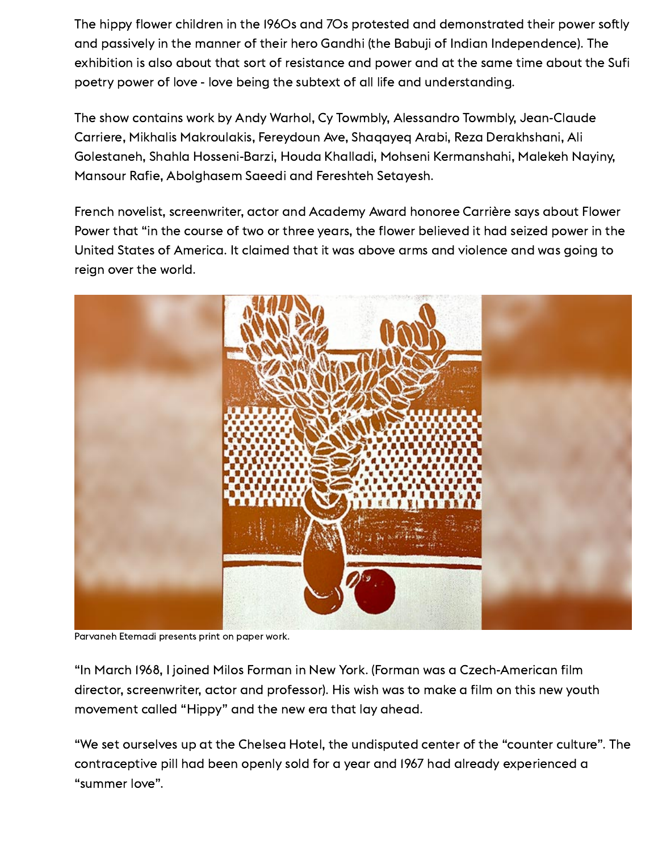The hippy flower children in the I96Os and 7Os protested and demonstrated their power softly and passively in the manner of their hero Gandhi (the Babuji of Indian Independence). The exhibition is also about that sort of resistance and power and at the same time about the Sufi poetry power of love - love being the subtext of all life and understanding.

The show contains work by Andy Warhol, Cy Towmbly, Alessandro Towmbly, Jean-Claude Carriere, Mikhalis Makroulakis, Fereydoun Ave, Shaqayeq Arabi, Reza Derakhshani, Ali Golestaneh, Shahla Hosseni-Barzi, Houda Khalladi, Mohseni Kermanshahi, Malekeh Nayiny, Mansour Rafie, Abolghasem Saeedi and Fereshteh Setayesh.

French novelist, screenwriter, actor and Academy Award honoree Carrière says about Flower Power that "in the course of two or three years, the flower believed it had seized power in the United States of America. It claimed that it was above arms and violence and was going to reign over the world.



Parvaneh Etemadi presents print on paper work.

"In March 1968, I joined Milos Forman in New York. (Forman was a Czech-American film director, screenwriter, actor and professor). His wish was to make a film on this new youth movement called "Hippy" and the new era that lay ahead.

"We set ourselves up at the Chelsea Hotel, the undisputed center of the "counter culture". The contraceptive pill had been openly sold for a year and 1967 had already experienced a "summer love".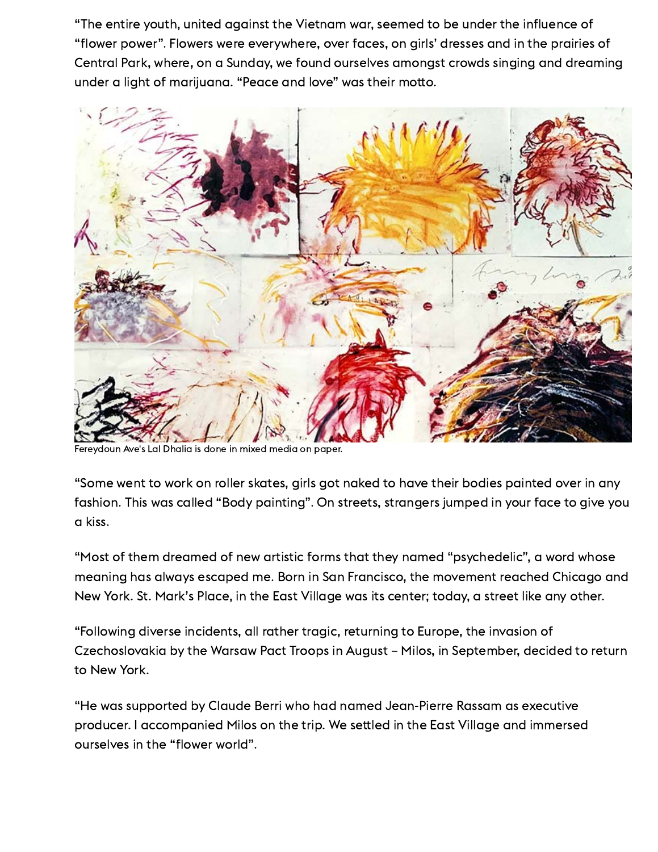"The entire youth, united against the Vietnam war, seemed to be under the influence of "flower power". Flowers were everywhere, over faces, on girls' dresses and in the prairies of Central Park, where, on a Sunday, we found ourselves amongst crowds singing and dreaming under a light of marijuana. "Peace and love" was their motto.



Fereydoun Ave's Lal Dhalia is done in mixed media on paper.

"Some went to work on roller skates, girls got naked to have their bodies painted over in any fashion. This was called "Body painting". On streets, strangers jumped in your face to give you a kiss.

"Most of them dreamed of new artistic forms that they named "psychedelic", a word whose meaning has always escaped me. Born in San Francisco, the movement reached Chicago and New York. St. Mark's Place, in the East Village was its center; today, a street like any other.

"Following diverse incidents, all rather tragic, returning to Europe, the invasion of Czechoslovakia by the Warsaw Pact Troops in August – Milos, in September, decided to return to New York.

"He was supported by Claude Berri who had named Jean-Pierre Rassam as executive producer. I accompanied Milos on the trip. We settled in the East Village and immersed ourselves in the "flower world".